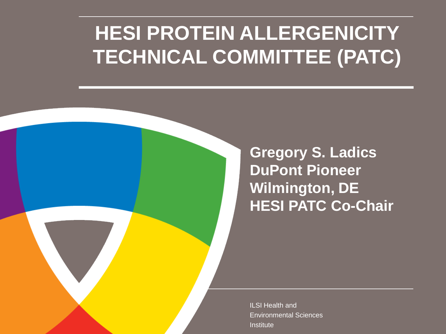## **HESI PROTEIN ALLERGENICITY TECHNICAL COMMITTEE (PATC)**

**Gregory S. Ladics DuPont Pioneer Wilmington, DE HESI PATC Co-Chair**

ILSI Health and Environmental Sciences Institute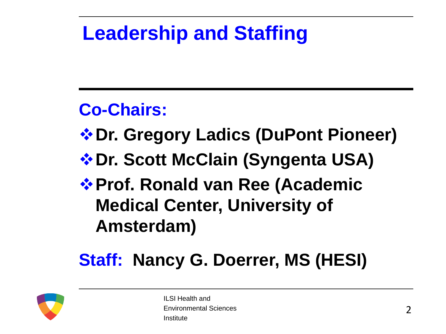## **Leadership and Staffing**

### **Co-Chairs:**

- **Dr. Gregory Ladics (DuPont Pioneer)**
- *❖* **Dr. Scott McClain (Syngenta USA)**
- *❖* **Prof. Ronald van Ree (Academic Medical Center, University of Amsterdam)**

### **Staff: Nancy G. Doerrer, MS (HESI)**

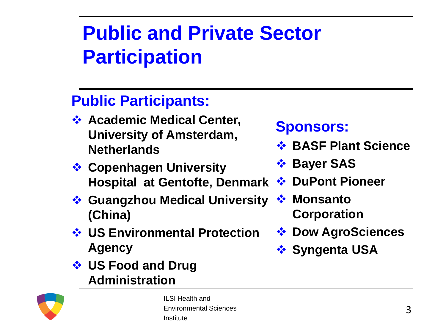# **Public and Private Sector Participation**

### **Public Participants:**

- **<sup>◆</sup> Academic Medical Center, University of Amsterdam, Netherlands**
- **<sup>❖</sup> Copenhagen University Hospital at Gentofte, Denmark**
- **Guangzhou Medical University (China)**
- **US Environmental Protection Agency**
- **US Food and Drug Administration**

### **Sponsors:**

- $\dots$  **BASF Plant Science**
- *❖* Bayer SAS
- *<b>* DuPont Pioneer
- *❖* Monsanto **Corporation**
- *❖* Dow AgroSciences
- *<b>❖* Syngenta USA

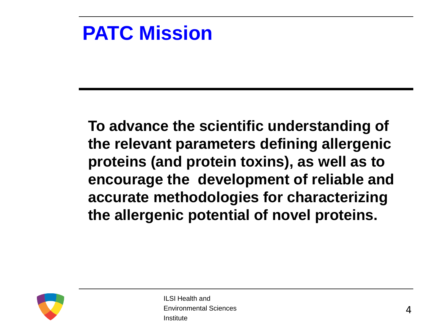### **PATC Mission**

**To advance the scientific understanding of the relevant parameters defining allergenic proteins (and protein toxins), as well as to encourage the development of reliable and accurate methodologies for characterizing the allergenic potential of novel proteins.**

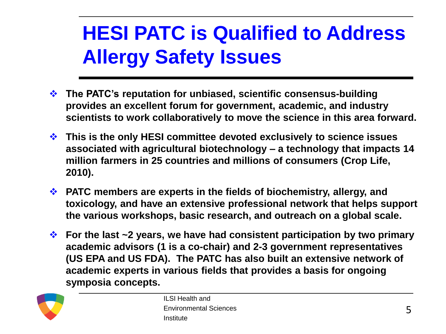# **HESI PATC is Qualified to Address Allergy Safety Issues**

- **The PATC's reputation for unbiased, scientific consensus-building provides an excellent forum for government, academic, and industry scientists to work collaboratively to move the science in this area forward.**
- **This is the only HESI committee devoted exclusively to science issues associated with agricultural biotechnology – a technology that impacts 14 million farmers in 25 countries and millions of consumers (Crop Life, 2010).**
- **PATC members are experts in the fields of biochemistry, allergy, and toxicology, and have an extensive professional network that helps support the various workshops, basic research, and outreach on a global scale.**
- **For the last ~2 years, we have had consistent participation by two primary academic advisors (1 is a co-chair) and 2-3 government representatives (US EPA and US FDA). The PATC has also built an extensive network of academic experts in various fields that provides a basis for ongoing symposia concepts.**

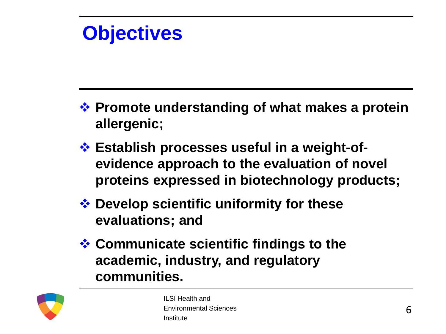### **Objectives**

- **→ Promote understanding of what makes a protein allergenic;**
- **Establish processes useful in a weight-ofevidence approach to the evaluation of novel proteins expressed in biotechnology products;**
- **<sup>◆</sup> Develop scientific uniformity for these evaluations; and**
- **<sup>❖</sup> Communicate scientific findings to the academic, industry, and regulatory communities.**

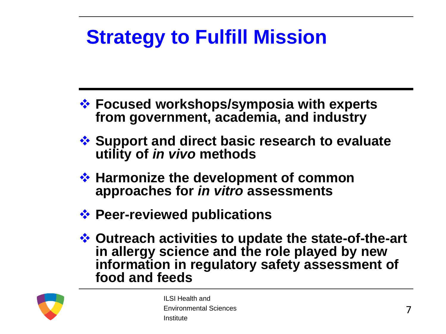# **Strategy to Fulfill Mission**

- **Focused workshops/symposia with experts from government, academia, and industry**
- **Support and direct basic research to evaluate utility of** *in vivo* **methods**
- **❖ Harmonize the development of common approaches for** *in vitro* **assessments**
- **<sup>❖</sup> Peer-reviewed publications**
- **Outreach activities to update the state-of-the-art in allergy science and the role played by new information in regulatory safety assessment of food and feeds**

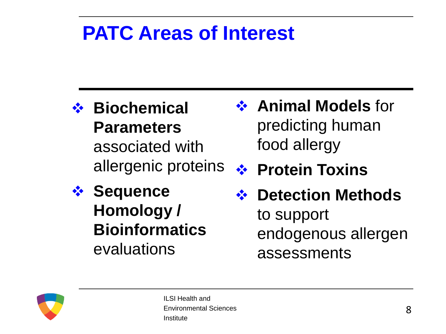### **PATC Areas of Interest**

- **Biochemical Parameters**  associated with allergenic proteins
- *❖* Sequence **Homology / Bioinformatics**  evaluations
- **❖ Animal Models** for predicting human food allergy
- **❖ Protein Toxins**
- *<b>❖* Detection Methods to support endogenous allergen assessments

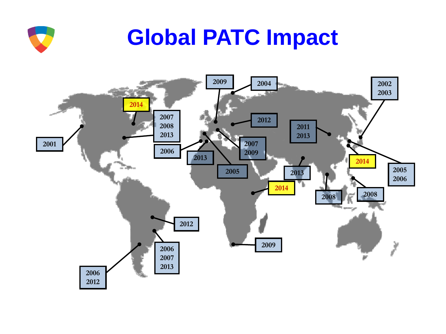

# **Global PATC Impact**

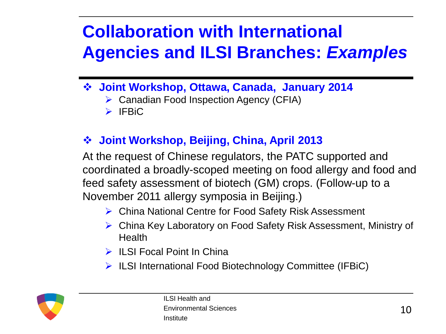### **Collaboration with International Agencies and ILSI Branches:** *Examples*

- **Joint Workshop, Ottawa, Canada, January 2014**
	- ▶ Canadian Food Inspection Agency (CFIA)
	- $\triangleright$  IFBiC

### **Joint Workshop, Beijing, China, April 2013**

At the request of Chinese regulators, the PATC supported and coordinated a broadly-scoped meeting on food allergy and food and feed safety assessment of biotech (GM) crops. (Follow-up to a November 2011 allergy symposia in Beijing.)

- China National Centre for Food Safety Risk Assessment
- China Key Laboratory on Food Safety Risk Assessment, Ministry of **Health**
- $\triangleright$  ILSI Focal Point In China
- $\triangleright$  ILSI International Food Biotechnology Committee (IFBiC)

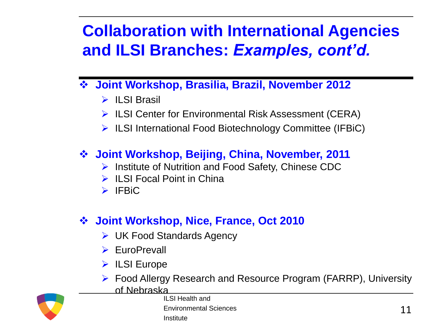### **Collaboration with International Agencies and ILSI Branches:** *Examples, cont'd.*

- **Joint Workshop, Brasilia, Brazil, November 2012**
	- $\triangleright$  II SI Brasil
	- $\triangleright$  ILSI Center for Environmental Risk Assessment (CERA)
	- $\triangleright$  ILSI International Food Biotechnology Committee (IFBiC)

### **Joint Workshop, Beijing, China, November, 2011**

- $\triangleright$  Institute of Nutrition and Food Safety, Chinese CDC
- $\triangleright$  ILSI Focal Point in China
- $\triangleright$  IFBiC

### **Joint Workshop, Nice, France, Oct 2010**

- **► UK Food Standards Agency**
- **EuroPrevall**
- $\triangleright$  ILSI Europe
- Food Allergy Research and Resource Program (FARRP), University of Nebraska



ILSI Health and Environmental Sciences Institute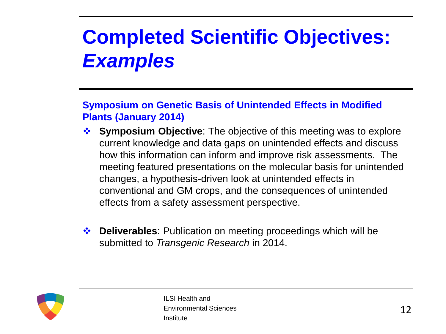# **Completed Scientific Objectives:**  *Examples*

#### **Symposium on Genetic Basis of Unintended Effects in Modified Plants (January 2014)**

- **Symposium Objective**: The objective of this meeting was to explore **↑** current knowledge and data gaps on unintended effects and discuss how this information can inform and improve risk assessments. The meeting featured presentations on the molecular basis for unintended changes, a hypothesis-driven look at unintended effects in conventional and GM crops, and the consequences of unintended effects from a safety assessment perspective.
- **Deliverables**: Publication on meeting proceedings which will be submitted to *Transgenic Research* in 2014.

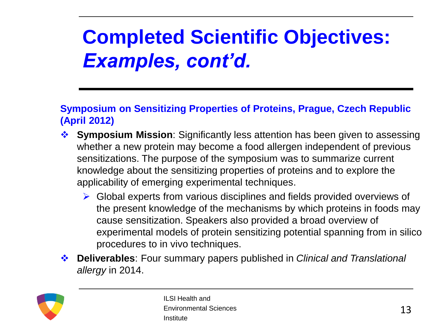# **Completed Scientific Objectives:**  *Examples, cont'd.*

#### **Symposium on Sensitizing Properties of Proteins, Prague, Czech Republic (April 2012)**

- **Symposium Mission**: Significantly less attention has been given to assessing whether a new protein may become a food allergen independent of previous sensitizations. The purpose of the symposium was to summarize current knowledge about the sensitizing properties of proteins and to explore the applicability of emerging experimental techniques.
	- $\triangleright$  Global experts from various disciplines and fields provided overviews of the present knowledge of the mechanisms by which proteins in foods may cause sensitization. Speakers also provided a broad overview of experimental models of protein sensitizing potential spanning from in silico procedures to in vivo techniques.
- **Deliverables**: Four summary papers published in *Clinical and Translational allergy* in 2014.

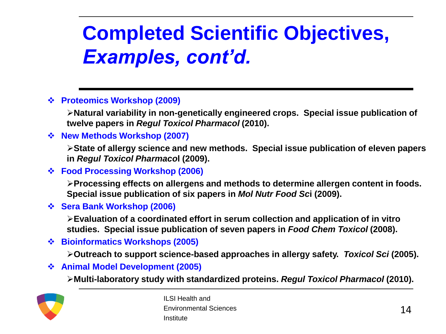# **Completed Scientific Objectives,**  *Examples, cont'd.*

**Proteomics Workshop (2009)**

**Natural variability in non-genetically engineered crops. Special issue publication of twelve papers in** *Regul Toxicol Pharmacol* **(2010).**

**New Methods Workshop (2007)**

**State of allergy science and new methods. Special issue publication of eleven papers in** *Regul Toxicol Pharmaco***l (2009).**

**Food Processing Workshop (2006)**

**Processing effects on allergens and methods to determine allergen content in foods. Special issue publication of six papers in** *Mol Nutr Food Sc***i (2009).**

**Sera Bank Workshop (2006)**

**Evaluation of a coordinated effort in serum collection and application of in vitro studies. Special issue publication of seven papers in** *Food Chem Toxicol* **(2008).**

**Bioinformatics Workshops (2005)**

**Outreach to support science-based approaches in allergy safety.** *Toxicol Sci* **(2005).**

**Animal Model Development (2005)**

**Multi-laboratory study with standardized proteins.** *Regul Toxicol Pharmacol* **(2010).** 

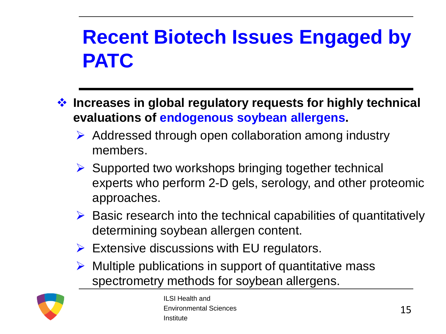## **Recent Biotech Issues Engaged by PATC**

- **Increases in global regulatory requests for highly technical evaluations of endogenous soybean allergens.**
	- $\triangleright$  Addressed through open collaboration among industry members.
	- $\triangleright$  Supported two workshops bringing together technical experts who perform 2-D gels, serology, and other proteomic approaches.
	- $\triangleright$  Basic research into the technical capabilities of quantitatively determining soybean allergen content.
	- $\triangleright$  Extensive discussions with EU regulators.
	- $\triangleright$  Multiple publications in support of quantitative mass spectrometry methods for soybean allergens.

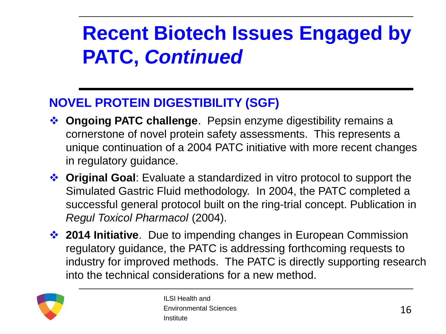## **Recent Biotech Issues Engaged by PATC,** *Continued*

### **NOVEL PROTEIN DIGESTIBILITY (SGF)**

- **Ongoing PATC challenge**. Pepsin enzyme digestibility remains a cornerstone of novel protein safety assessments. This represents a unique continuation of a 2004 PATC initiative with more recent changes in regulatory guidance.
- **Original Goal**: Evaluate a standardized in vitro protocol to support the Simulated Gastric Fluid methodology. In 2004, the PATC completed a successful general protocol built on the ring-trial concept. Publication in *Regul Toxicol Pharmacol* (2004).
- **2014 Initiative**. Due to impending changes in European Commission regulatory guidance, the PATC is addressing forthcoming requests to industry for improved methods. The PATC is directly supporting research into the technical considerations for a new method.

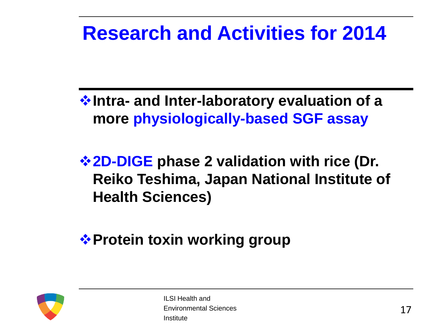### **Research and Activities for 2014**

**Intra- and Inter-laboratory evaluation of a more physiologically-based SGF assay**

**2D-DIGE phase 2 validation with rice (Dr. Reiko Teshima, Japan National Institute of Health Sciences)**

**❖ Protein toxin working group** 

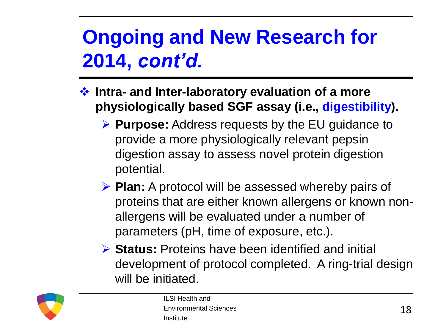# **Ongoing and New Research for 2014,** *cont'd.*

- **Intra- and Inter-laboratory evaluation of a more physiologically based SGF assay (i.e., digestibility).**
	- **Purpose:** Address requests by the EU guidance to provide a more physiologically relevant pepsin digestion assay to assess novel protein digestion potential.
	- **Plan:** A protocol will be assessed whereby pairs of proteins that are either known allergens or known nonallergens will be evaluated under a number of parameters (pH, time of exposure, etc.).
	- **Status:** Proteins have been identified and initial development of protocol completed. A ring-trial design will be initiated.

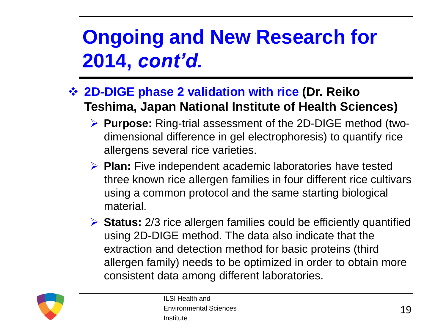# **Ongoing and New Research for 2014,** *cont'd.*

### **2D-DIGE phase 2 validation with rice (Dr. Reiko Teshima, Japan National Institute of Health Sciences)**

- **Purpose:** Ring-trial assessment of the 2D-DIGE method (twodimensional difference in gel electrophoresis) to quantify rice allergens several rice varieties.
- **Plan:** Five independent academic laboratories have tested three known rice allergen families in four different rice cultivars using a common protocol and the same starting biological material.
- **► Status:** 2/3 rice allergen families could be efficiently quantified using 2D-DIGE method. The data also indicate that the extraction and detection method for basic proteins (third allergen family) needs to be optimized in order to obtain more consistent data among different laboratories.

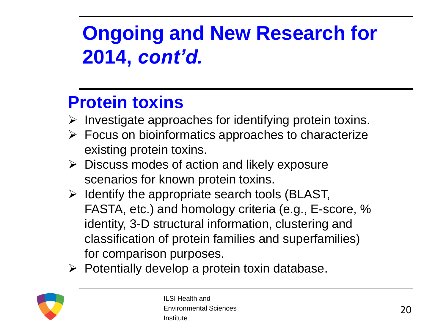# **Ongoing and New Research for 2014,** *cont'd.*

### **Protein toxins**

- $\triangleright$  Investigate approaches for identifying protein toxins.
- $\triangleright$  Focus on bioinformatics approaches to characterize existing protein toxins.
- $\triangleright$  Discuss modes of action and likely exposure scenarios for known protein toxins.
- $\triangleright$  Identify the appropriate search tools (BLAST, FASTA, etc.) and homology criteria (e.g., E-score, % identity, 3-D structural information, clustering and classification of protein families and superfamilies) for comparison purposes.
- $\triangleright$  Potentially develop a protein toxin database.

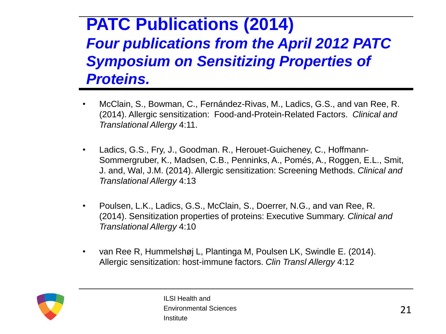### **PATC Publications (2014)**  *Four publications from the April 2012 PATC Symposium on Sensitizing Properties of Proteins.*

- McClain, S., Bowman, C., Fernández-Rivas, M., Ladics, G.S., and van Ree, R. (2014). Allergic sensitization: Food-and-Protein-Related Factors. *Clinical and Translational Allergy* 4:11.
- Ladics, G.S., Fry, J., Goodman. R., Herouet-Guicheney, C., Hoffmann-Sommergruber, K., Madsen, C.B., Penninks, A., Pomés, A., Roggen, E.L., Smit, J. and, Wal, J.M. (2014). Allergic sensitization: Screening Methods. *Clinical and Translational Allergy* 4:13
- Poulsen, L.K., Ladics, G.S., McClain, S., Doerrer, N.G., and van Ree, R. (2014). Sensitization properties of proteins: Executive Summary. *Clinical and Translational Allergy* 4:10
- van Ree R, Hummelshøj L, Plantinga M, Poulsen LK, Swindle E. (2014). Allergic sensitization: host-immune factors. *Clin Transl Allergy* 4:12

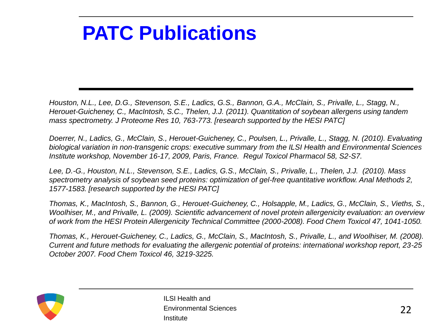### **PATC Publications**

*Houston, N.L., Lee, D.G., Stevenson, S.E., Ladics, G.S., Bannon, G.A., McClain, S., Privalle, L., Stagg, N., Herouet-Guicheney, C., MacIntosh, S.C., Thelen, J.J. (2011). Quantitation of soybean allergens using tandem mass spectrometry. J Proteome Res 10, 763-773. [research supported by the HESI PATC]*

*Doerrer, N., Ladics, G., McClain, S., Herouet-Guicheney, C., Poulsen, L., Privalle, L., Stagg, N. (2010). Evaluating biological variation in non-transgenic crops: executive summary from the ILSI Health and Environmental Sciences Institute workshop, November 16-17, 2009, Paris, France. Regul Toxicol Pharmacol 58, S2-S7.*

*Lee, D.-G., Houston, N.L., Stevenson, S.E., Ladics, G.S., McClain, S., Privalle, L., Thelen, J.J. (2010). Mass spectrometry analysis of soybean seed proteins: optimization of gel-free quantitative workflow. Anal Methods 2, 1577-1583. [research supported by the HESI PATC]*

*Thomas, K., MacIntosh, S., Bannon, G., Herouet-Guicheney, C., Holsapple, M., Ladics, G., McClain, S., Vieths, S., Woolhiser, M., and Privalle, L. (2009). Scientific advancement of novel protein allergenicity evaluation: an overview of work from the HESI Protein Allergenicity Technical Committee (2000-2008). Food Chem Toxicol 47, 1041-1050.*

*Thomas, K., Herouet-Guicheney, C., Ladics, G., McClain, S., MacIntosh, S., Privalle, L., and Woolhiser, M. (2008). Current and future methods for evaluating the allergenic potential of proteins: international workshop report, 23-25 October 2007. Food Chem Toxicol 46, 3219-3225.*